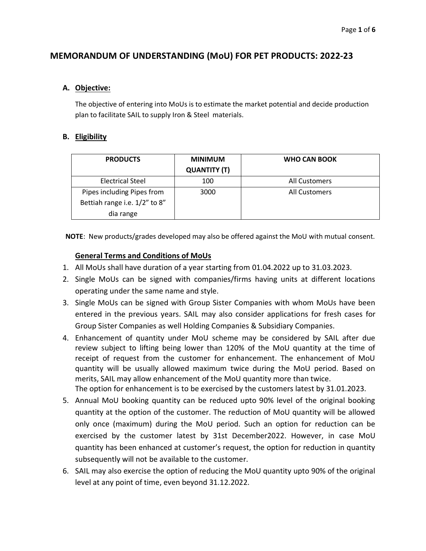# **MEMORANDUM OF UNDERSTANDING (MoU) FOR PET PRODUCTS: 2022-23**

# **A. Objective:**

The objective of entering into MoUs is to estimate the market potential and decide production plan to facilitate SAIL to supply Iron & Steel materials.

# **B. Eligibility**

| <b>PRODUCTS</b>               | <b>MINIMUM</b>      | <b>WHO CAN BOOK</b>  |  |  |
|-------------------------------|---------------------|----------------------|--|--|
|                               | <b>QUANTITY (T)</b> |                      |  |  |
| <b>Electrical Steel</b>       | 100                 | All Customers        |  |  |
| Pipes including Pipes from    | 3000                | <b>All Customers</b> |  |  |
| Bettiah range i.e. 1/2" to 8" |                     |                      |  |  |
| dia range                     |                     |                      |  |  |

 **NOTE**: New products/grades developed may also be offered against the MoU with mutual consent.

# **General Terms and Conditions of MoUs**

- 1. All MoUs shall have duration of a year starting from 01.04.2022 up to 31.03.2023.
- 2. Single MoUs can be signed with companies/firms having units at different locations operating under the same name and style.
- 3. Single MoUs can be signed with Group Sister Companies with whom MoUs have been entered in the previous years. SAIL may also consider applications for fresh cases for Group Sister Companies as well Holding Companies & Subsidiary Companies.
- 4. Enhancement of quantity under MoU scheme may be considered by SAIL after due review subject to lifting being lower than 120% of the MoU quantity at the time of receipt of request from the customer for enhancement. The enhancement of MoU quantity will be usually allowed maximum twice during the MoU period. Based on merits, SAIL may allow enhancement of the MoU quantity more than twice.

The option for enhancement is to be exercised by the customers latest by 31.01.2023.

- 5. Annual MoU booking quantity can be reduced upto 90% level of the original booking quantity at the option of the customer. The reduction of MoU quantity will be allowed only once (maximum) during the MoU period. Such an option for reduction can be exercised by the customer latest by 31st December2022. However, in case MoU quantity has been enhanced at customer's request, the option for reduction in quantity subsequently will not be available to the customer.
- 6. SAIL may also exercise the option of reducing the MoU quantity upto 90% of the original level at any point of time, even beyond 31.12.2022.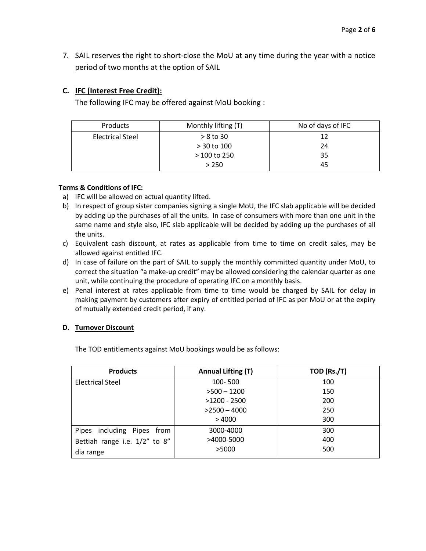7. SAIL reserves the right to short-close the MoU at any time during the year with a notice period of two months at the option of SAIL

# **C. IFC (Interest Free Credit):**

The following IFC may be offered against MoU booking :

| Products                | Monthly lifting (T) | No of days of IFC |  |  |
|-------------------------|---------------------|-------------------|--|--|
| <b>Electrical Steel</b> | $> 8$ to 30         | 12                |  |  |
|                         | $>30$ to $100$      | 24                |  |  |
|                         | $>100$ to 250       | 35                |  |  |
|                         | > 250               | 45                |  |  |

### **Terms & Conditions of IFC:**

- a) IFC will be allowed on actual quantity lifted.
- b) In respect of group sister companies signing a single MoU, the IFC slab applicable will be decided by adding up the purchases of all the units. In case of consumers with more than one unit in the same name and style also, IFC slab applicable will be decided by adding up the purchases of all the units.
- c) Equivalent cash discount, at rates as applicable from time to time on credit sales, may be allowed against entitled IFC.
- d) In case of failure on the part of SAIL to supply the monthly committed quantity under MoU, to correct the situation "a make-up credit" may be allowed considering the calendar quarter as one unit, while continuing the procedure of operating IFC on a monthly basis.
- e) Penal interest at rates applicable from time to time would be charged by SAIL for delay in making payment by customers after expiry of entitled period of IFC as per MoU or at the expiry of mutually extended credit period, if any.

#### **D. Turnover Discount**

The TOD entitlements against MoU bookings would be as follows:

| <b>Products</b>               | <b>Annual Lifting (T)</b> | TOD (Rs./T) |  |  |
|-------------------------------|---------------------------|-------------|--|--|
| <b>Electrical Steel</b>       | 100-500                   | 100         |  |  |
|                               | $>500 - 1200$             | 150         |  |  |
|                               | $>1200 - 2500$            | 200         |  |  |
|                               | $>2500 - 4000$            | 250         |  |  |
|                               | >4000                     | 300         |  |  |
| including Pipes from<br>Pipes | 3000-4000                 | 300         |  |  |
| Bettiah range i.e. 1/2" to 8" | >4000-5000                | 400         |  |  |
| dia range                     | >5000                     | 500         |  |  |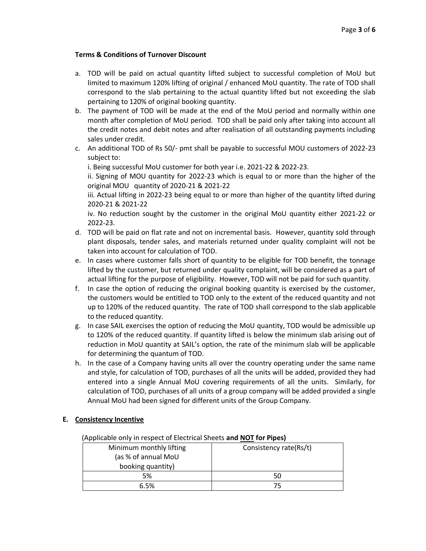#### **Terms & Conditions of Turnover Discount**

- a. TOD will be paid on actual quantity lifted subject to successful completion of MoU but limited to maximum 120% lifting of original / enhanced MoU quantity. The rate of TOD shall correspond to the slab pertaining to the actual quantity lifted but not exceeding the slab pertaining to 120% of original booking quantity.
- b. The payment of TOD will be made at the end of the MoU period and normally within one month after completion of MoU period. TOD shall be paid only after taking into account all the credit notes and debit notes and after realisation of all outstanding payments including sales under credit.
- c. An additional TOD of Rs 50/- pmt shall be payable to successful MOU customers of 2022-23 subject to:

i. Being successful MoU customer for both year i.e. 2021-22 & 2022-23.

ii. Signing of MOU quantity for 2022-23 which is equal to or more than the higher of the original MOU quantity of 2020-21 & 2021-22

iii. Actual lifting in 2022-23 being equal to or more than higher of the quantity lifted during 2020-21 & 2021-22

iv. No reduction sought by the customer in the original MoU quantity either 2021-22 or 2022-23.

- d. TOD will be paid on flat rate and not on incremental basis. However, quantity sold through plant disposals, tender sales, and materials returned under quality complaint will not be taken into account for calculation of TOD.
- e. In cases where customer falls short of quantity to be eligible for TOD benefit, the tonnage lifted by the customer, but returned under quality complaint, will be considered as a part of actual lifting for the purpose of eligibility. However, TOD will not be paid for such quantity.
- f. In case the option of reducing the original booking quantity is exercised by the customer, the customers would be entitled to TOD only to the extent of the reduced quantity and not up to 120% of the reduced quantity. The rate of TOD shall correspond to the slab applicable to the reduced quantity.
- g. In case SAIL exercises the option of reducing the MoU quantity, TOD would be admissible up to 120% of the reduced quantity. If quantity lifted is below the minimum slab arising out of reduction in MoU quantity at SAIL's option, the rate of the minimum slab will be applicable for determining the quantum of TOD.
- h. In the case of a Company having units all over the country operating under the same name and style, for calculation of TOD, purchases of all the units will be added, provided they had entered into a single Annual MoU covering requirements of all the units. Similarly, for calculation of TOD, purchases of all units of a group company will be added provided a single Annual MoU had been signed for different units of the Group Company.

#### **E. Consistency Incentive**

(Applicable only in respect of Electrical Sheets **and NOT for Pipes)**

| Minimum monthly lifting | Consistency rate(Rs/t) |  |  |
|-------------------------|------------------------|--|--|
| (as % of annual MoU     |                        |  |  |
| booking quantity)       |                        |  |  |
| 5%                      | 50                     |  |  |
| 6.5%                    | 75                     |  |  |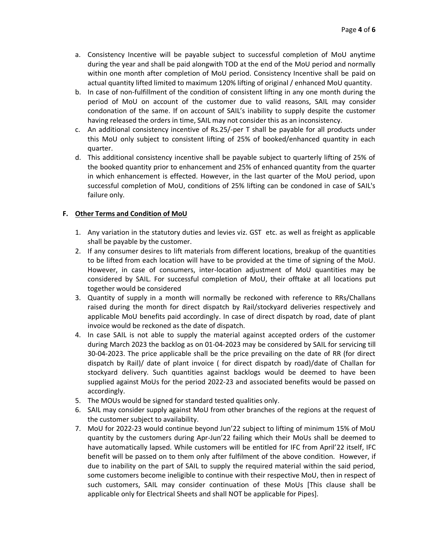- a. Consistency Incentive will be payable subject to successful completion of MoU anytime during the year and shall be paid alongwith TOD at the end of the MoU period and normally within one month after completion of MoU period. Consistency Incentive shall be paid on actual quantity lifted limited to maximum 120% lifting of original / enhanced MoU quantity.
- b. In case of non-fulfillment of the condition of consistent lifting in any one month during the period of MoU on account of the customer due to valid reasons, SAIL may consider condonation of the same. If on account of SAIL's inability to supply despite the customer having released the orders in time, SAIL may not consider this as an inconsistency.
- c. An additional consistency incentive of Rs.25/-per T shall be payable for all products under this MoU only subject to consistent lifting of 25% of booked/enhanced quantity in each quarter.
- d. This additional consistency incentive shall be payable subject to quarterly lifting of 25% of the booked quantity prior to enhancement and 25% of enhanced quantity from the quarter in which enhancement is effected. However, in the last quarter of the MoU period, upon successful completion of MoU, conditions of 25% lifting can be condoned in case of SAIL's failure only.

### **F. Other Terms and Condition of MoU**

- 1. Any variation in the statutory duties and levies viz. GST etc. as well as freight as applicable shall be payable by the customer.
- 2. If any consumer desires to lift materials from different locations, breakup of the quantities to be lifted from each location will have to be provided at the time of signing of the MoU. However, in case of consumers, inter-location adjustment of MoU quantities may be considered by SAIL. For successful completion of MoU, their offtake at all locations put together would be considered
- 3. Quantity of supply in a month will normally be reckoned with reference to RRs/Challans raised during the month for direct dispatch by Rail/stockyard deliveries respectively and applicable MoU benefits paid accordingly. In case of direct dispatch by road, date of plant invoice would be reckoned as the date of dispatch.
- 4. In case SAIL is not able to supply the material against accepted orders of the customer during March 2023 the backlog as on 01-04-2023 may be considered by SAIL for servicing till 30-04-2023. The price applicable shall be the price prevailing on the date of RR (for direct dispatch by Rail)/ date of plant invoice ( for direct dispatch by road)/date of Challan for stockyard delivery. Such quantities against backlogs would be deemed to have been supplied against MoUs for the period 2022-23 and associated benefits would be passed on accordingly.
- 5. The MOUs would be signed for standard tested qualities only.
- 6. SAIL may consider supply against MoU from other branches of the regions at the request of the customer subject to availability.
- 7. MoU for 2022-23 would continue beyond Jun'22 subject to lifting of minimum 15% of MoU quantity by the customers during Apr-Jun'22 failing which their MoUs shall be deemed to have automatically lapsed. While customers will be entitled for IFC from April'22 itself, IFC benefit will be passed on to them only after fulfilment of the above condition. However, if due to inability on the part of SAIL to supply the required material within the said period, some customers become ineligible to continue with their respective MoU, then in respect of such customers, SAIL may consider continuation of these MoUs [This clause shall be applicable only for Electrical Sheets and shall NOT be applicable for Pipes].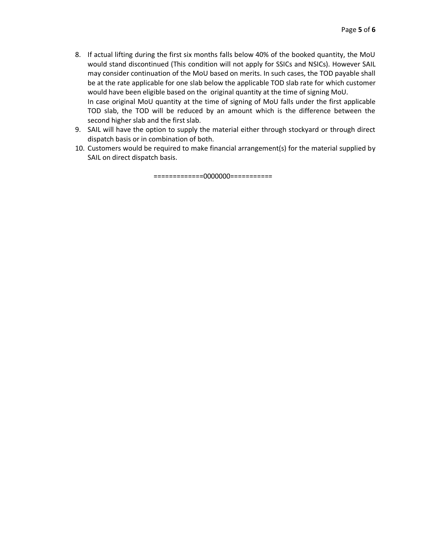- 8. If actual lifting during the first six months falls below 40% of the booked quantity, the MoU would stand discontinued (This condition will not apply for SSICs and NSICs). However SAIL may consider continuation of the MoU based on merits. In such cases, the TOD payable shall be at the rate applicable for one slab below the applicable TOD slab rate for which customer would have been eligible based on the original quantity at the time of signing MoU. In case original MoU quantity at the time of signing of MoU falls under the first applicable TOD slab, the TOD will be reduced by an amount which is the difference between the second higher slab and the first slab.
- 9. SAIL will have the option to supply the material either through stockyard or through direct dispatch basis or in combination of both.
- 10. Customers would be required to make financial arrangement(s) for the material supplied by SAIL on direct dispatch basis.

=============0000000===========